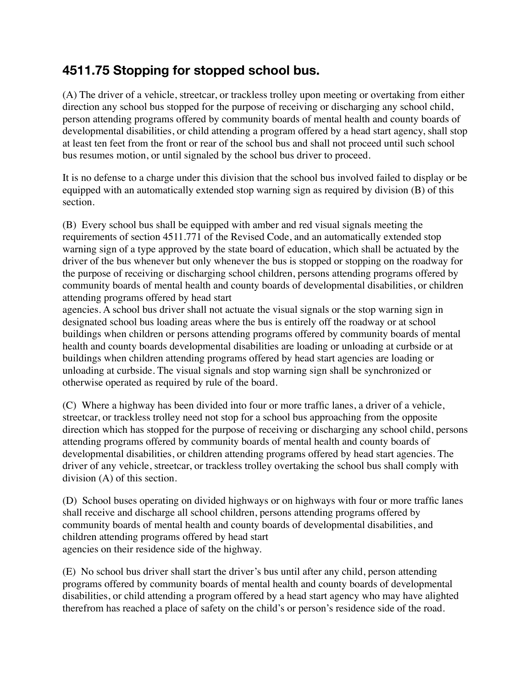## **4511.75 Stopping for stopped school bus.**

(A) The driver of a vehicle, streetcar, or trackless trolley upon meeting or overtaking from either direction any school bus stopped for the purpose of receiving or discharging any school child, person attending programs offered by community boards of mental health and county boards of developmental disabilities, or child attending a program offered by a head start agency, shall stop at least ten feet from the front or rear of the school bus and shall not proceed until such school bus resumes motion, or until signaled by the school bus driver to proceed.

It is no defense to a charge under this division that the school bus involved failed to display or be equipped with an automatically extended stop warning sign as required by division (B) of this section.

(B) Every school bus shall be equipped with amber and red visual signals meeting the requirements of section 4511.771 of the Revised Code, and an automatically extended stop warning sign of a type approved by the state board of education, which shall be actuated by the driver of the bus whenever but only whenever the bus is stopped or stopping on the roadway for the purpose of receiving or discharging school children, persons attending programs offered by community boards of mental health and county boards of developmental disabilities, or children attending programs offered by head start

agencies. A school bus driver shall not actuate the visual signals or the stop warning sign in designated school bus loading areas where the bus is entirely off the roadway or at school buildings when children or persons attending programs offered by community boards of mental health and county boards developmental disabilities are loading or unloading at curbside or at buildings when children attending programs offered by head start agencies are loading or unloading at curbside. The visual signals and stop warning sign shall be synchronized or otherwise operated as required by rule of the board.

(C) Where a highway has been divided into four or more traffic lanes, a driver of a vehicle, streetcar, or trackless trolley need not stop for a school bus approaching from the opposite direction which has stopped for the purpose of receiving or discharging any school child, persons attending programs offered by community boards of mental health and county boards of developmental disabilities, or children attending programs offered by head start agencies. The driver of any vehicle, streetcar, or trackless trolley overtaking the school bus shall comply with division (A) of this section.

(D) School buses operating on divided highways or on highways with four or more traffic lanes shall receive and discharge all school children, persons attending programs offered by community boards of mental health and county boards of developmental disabilities, and children attending programs offered by head start agencies on their residence side of the highway.

(E) No school bus driver shall start the driver's bus until after any child, person attending programs offered by community boards of mental health and county boards of developmental disabilities, or child attending a program offered by a head start agency who may have alighted therefrom has reached a place of safety on the child's or person's residence side of the road.